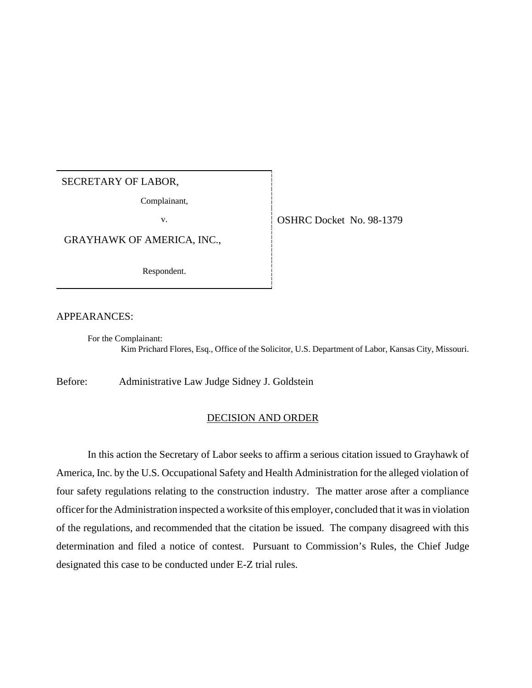## SECRETARY OF LABOR,

Complainant,

GRAYHAWK OF AMERICA, INC.,

Respondent.

v. COSHRC Docket No. 98-1379

APPEARANCES:

For the Complainant: Kim Prichard Flores, Esq., Office of the Solicitor, U.S. Department of Labor, Kansas City, Missouri.

Before: Administrative Law Judge Sidney J. Goldstein

## DECISION AND ORDER

In this action the Secretary of Labor seeks to affirm a serious citation issued to Grayhawk of America, Inc. by the U.S. Occupational Safety and Health Administration for the alleged violation of four safety regulations relating to the construction industry. The matter arose after a compliance officer for the Administration inspected a worksite of this employer, concluded that it was in violation of the regulations, and recommended that the citation be issued. The company disagreed with this determination and filed a notice of contest. Pursuant to Commission's Rules, the Chief Judge designated this case to be conducted under E-Z trial rules.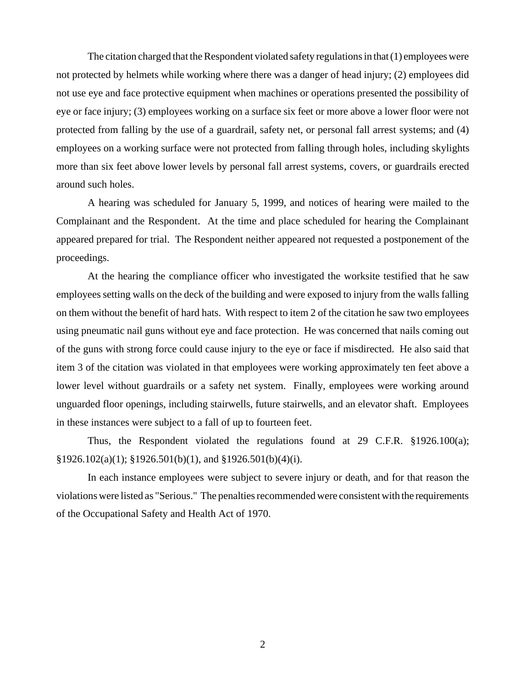The citation charged that the Respondent violated safety regulations in that (1) employees were not protected by helmets while working where there was a danger of head injury; (2) employees did not use eye and face protective equipment when machines or operations presented the possibility of eye or face injury; (3) employees working on a surface six feet or more above a lower floor were not protected from falling by the use of a guardrail, safety net, or personal fall arrest systems; and (4) employees on a working surface were not protected from falling through holes, including skylights more than six feet above lower levels by personal fall arrest systems, covers, or guardrails erected around such holes.

A hearing was scheduled for January 5, 1999, and notices of hearing were mailed to the Complainant and the Respondent. At the time and place scheduled for hearing the Complainant appeared prepared for trial. The Respondent neither appeared not requested a postponement of the proceedings.

At the hearing the compliance officer who investigated the worksite testified that he saw employees setting walls on the deck of the building and were exposed to injury from the walls falling on them without the benefit of hard hats. With respect to item 2 of the citation he saw two employees using pneumatic nail guns without eye and face protection. He was concerned that nails coming out of the guns with strong force could cause injury to the eye or face if misdirected. He also said that item 3 of the citation was violated in that employees were working approximately ten feet above a lower level without guardrails or a safety net system. Finally, employees were working around unguarded floor openings, including stairwells, future stairwells, and an elevator shaft. Employees in these instances were subject to a fall of up to fourteen feet.

Thus, the Respondent violated the regulations found at 29 C.F.R. §1926.100(a);  $\S 1926.102(a)(1)$ ;  $\S 1926.501(b)(1)$ , and  $\S 1926.501(b)(4)(i)$ .

In each instance employees were subject to severe injury or death, and for that reason the violations were listed as "Serious." The penalties recommended were consistent with the requirements of the Occupational Safety and Health Act of 1970.